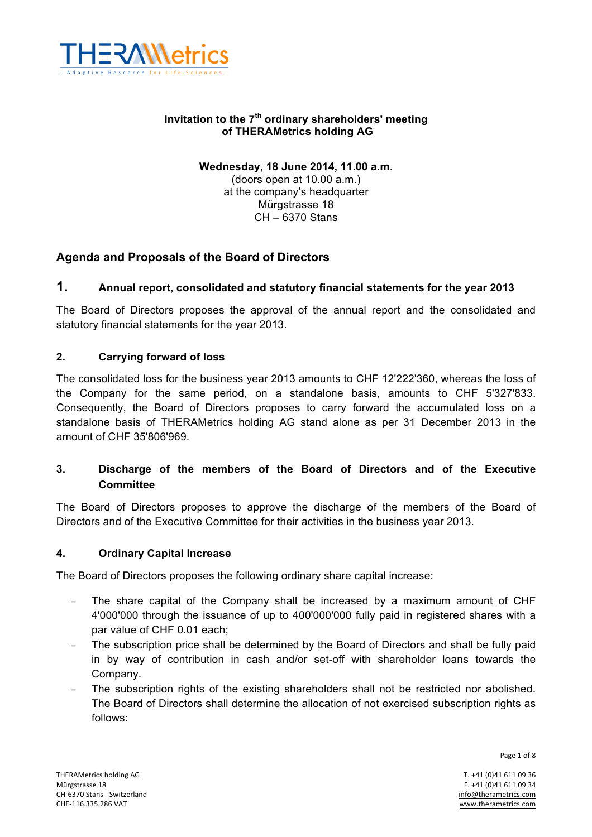

## **Invitation to the 7th ordinary shareholders' meeting of THERAMetrics holding AG**

# **Wednesday, 18 June 2014, 11.00 a.m.** (doors open at 10.00 a.m.) at the company's headquarter

Mürgstrasse 18 CH – 6370 Stans

# **Agenda and Proposals of the Board of Directors**

# **1. Annual report, consolidated and statutory financial statements for the year 2013**

The Board of Directors proposes the approval of the annual report and the consolidated and statutory financial statements for the year 2013.

## **2. Carrying forward of loss**

The consolidated loss for the business year 2013 amounts to CHF 12'222'360, whereas the loss of the Company for the same period, on a standalone basis, amounts to CHF 5'327'833. Consequently, the Board of Directors proposes to carry forward the accumulated loss on a standalone basis of THERAMetrics holding AG stand alone as per 31 December 2013 in the amount of CHF 35'806'969.

# **3. Discharge of the members of the Board of Directors and of the Executive Committee**

The Board of Directors proposes to approve the discharge of the members of the Board of Directors and of the Executive Committee for their activities in the business year 2013.

## **4. Ordinary Capital Increase**

The Board of Directors proposes the following ordinary share capital increase:

- The share capital of the Company shall be increased by a maximum amount of CHF 4'000'000 through the issuance of up to 400'000'000 fully paid in registered shares with a par value of CHF 0.01 each;
- The subscription price shall be determined by the Board of Directors and shall be fully paid in by way of contribution in cash and/or set-off with shareholder loans towards the Company.
- The subscription rights of the existing shareholders shall not be restricted nor abolished. The Board of Directors shall determine the allocation of not exercised subscription rights as follows:

Page 1 of 8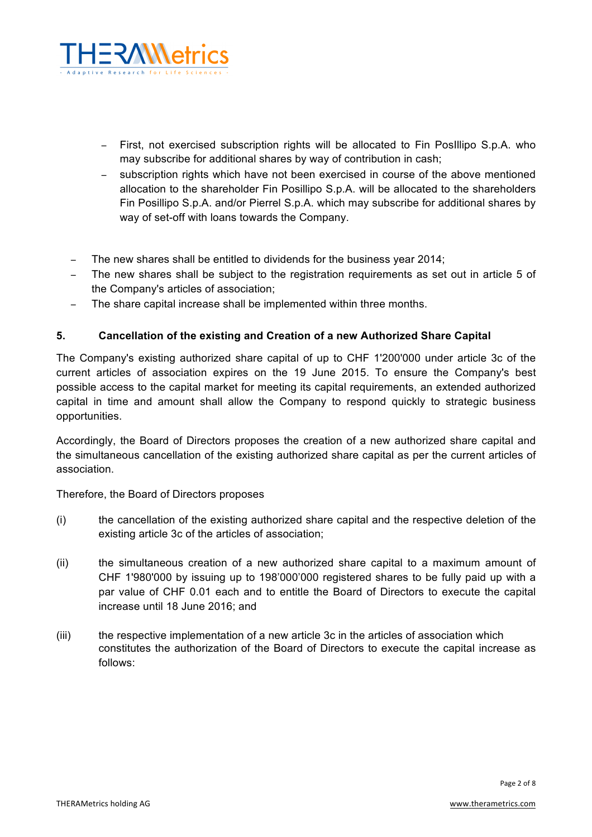

- − First, not exercised subscription rights will be allocated to Fin PosIllipo S.p.A. who may subscribe for additional shares by way of contribution in cash;
- − subscription rights which have not been exercised in course of the above mentioned allocation to the shareholder Fin Posillipo S.p.A. will be allocated to the shareholders Fin Posillipo S.p.A. and/or Pierrel S.p.A. which may subscribe for additional shares by way of set-off with loans towards the Company.
- − The new shares shall be entitled to dividends for the business year 2014;
- − The new shares shall be subject to the registration requirements as set out in article 5 of the Company's articles of association;
- The share capital increase shall be implemented within three months.

## **5. Cancellation of the existing and Creation of a new Authorized Share Capital**

The Company's existing authorized share capital of up to CHF 1'200'000 under article 3c of the current articles of association expires on the 19 June 2015. To ensure the Company's best possible access to the capital market for meeting its capital requirements, an extended authorized capital in time and amount shall allow the Company to respond quickly to strategic business opportunities.

Accordingly, the Board of Directors proposes the creation of a new authorized share capital and the simultaneous cancellation of the existing authorized share capital as per the current articles of association.

Therefore, the Board of Directors proposes

- (i) the cancellation of the existing authorized share capital and the respective deletion of the existing article 3c of the articles of association;
- (ii) the simultaneous creation of a new authorized share capital to a maximum amount of CHF 1'980'000 by issuing up to 198'000'000 registered shares to be fully paid up with a par value of CHF 0.01 each and to entitle the Board of Directors to execute the capital increase until 18 June 2016; and
- (iii) the respective implementation of a new article 3c in the articles of association which constitutes the authorization of the Board of Directors to execute the capital increase as follows: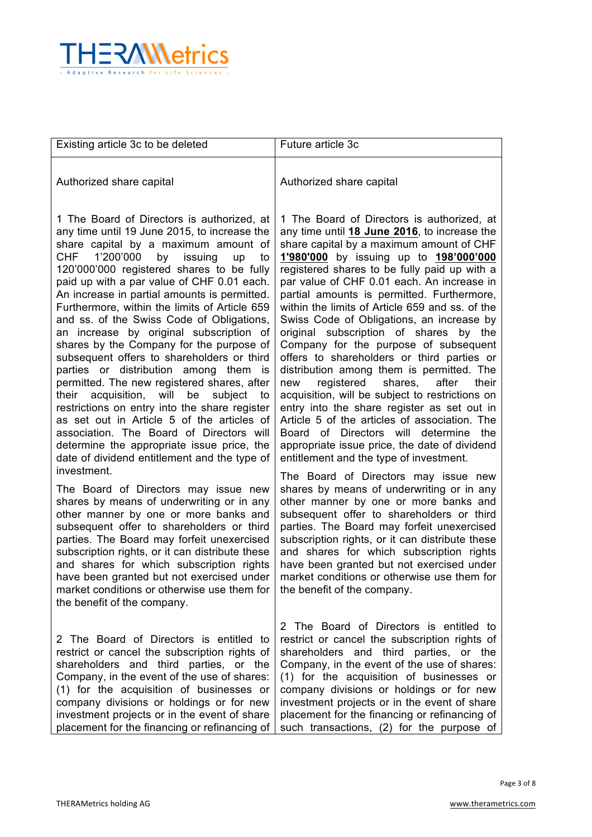

| Existing article 3c to be deleted                                                                                                                                                                                                                                                                                                                                                                                                                                                                                                                                                                                                                                                                                                                                                                                                                                                                                                                    | Future article 3c                                                                                                                                                                                                                                                                                                                                                                                                                                                                                                                                                                                                                                                                                                                                                                                                                                                                                                                                       |
|------------------------------------------------------------------------------------------------------------------------------------------------------------------------------------------------------------------------------------------------------------------------------------------------------------------------------------------------------------------------------------------------------------------------------------------------------------------------------------------------------------------------------------------------------------------------------------------------------------------------------------------------------------------------------------------------------------------------------------------------------------------------------------------------------------------------------------------------------------------------------------------------------------------------------------------------------|---------------------------------------------------------------------------------------------------------------------------------------------------------------------------------------------------------------------------------------------------------------------------------------------------------------------------------------------------------------------------------------------------------------------------------------------------------------------------------------------------------------------------------------------------------------------------------------------------------------------------------------------------------------------------------------------------------------------------------------------------------------------------------------------------------------------------------------------------------------------------------------------------------------------------------------------------------|
| Authorized share capital                                                                                                                                                                                                                                                                                                                                                                                                                                                                                                                                                                                                                                                                                                                                                                                                                                                                                                                             | Authorized share capital                                                                                                                                                                                                                                                                                                                                                                                                                                                                                                                                                                                                                                                                                                                                                                                                                                                                                                                                |
| 1 The Board of Directors is authorized, at<br>any time until 19 June 2015, to increase the<br>share capital by a maximum amount of<br>CHF<br>1'200'000<br>by<br>issuing<br>up<br>to<br>120'000'000 registered shares to be fully<br>paid up with a par value of CHF 0.01 each.<br>An increase in partial amounts is permitted.<br>Furthermore, within the limits of Article 659<br>and ss. of the Swiss Code of Obligations,<br>an increase by original subscription of<br>shares by the Company for the purpose of<br>subsequent offers to shareholders or third<br>parties or distribution among them is<br>permitted. The new registered shares, after<br>their acquisition, will<br>be<br>subject<br>to<br>restrictions on entry into the share register<br>as set out in Article 5 of the articles of<br>association. The Board of Directors will<br>determine the appropriate issue price, the<br>date of dividend entitlement and the type of | 1 The Board of Directors is authorized, at<br>any time until 18 June 2016, to increase the<br>share capital by a maximum amount of CHF<br>1'980'000 by issuing up to 198'000'000<br>registered shares to be fully paid up with a<br>par value of CHF 0.01 each. An increase in<br>partial amounts is permitted. Furthermore,<br>within the limits of Article 659 and ss. of the<br>Swiss Code of Obligations, an increase by<br>original subscription of shares by the<br>Company for the purpose of subsequent<br>offers to shareholders or third parties or<br>distribution among them is permitted. The<br>registered<br>shares,<br>new<br>after<br>their<br>acquisition, will be subject to restrictions on<br>entry into the share register as set out in<br>Article 5 of the articles of association. The<br>Board of Directors will determine<br>the<br>appropriate issue price, the date of dividend<br>entitlement and the type of investment. |
| investment.<br>The Board of Directors may issue new<br>shares by means of underwriting or in any<br>other manner by one or more banks and<br>subsequent offer to shareholders or third<br>parties. The Board may forfeit unexercised<br>subscription rights, or it can distribute these<br>and shares for which subscription rights<br>have been granted but not exercised under<br>market conditions or otherwise use them for<br>the benefit of the company.                                                                                                                                                                                                                                                                                                                                                                                                                                                                                       | The Board of Directors may issue new<br>shares by means of underwriting or in any<br>other manner by one or more banks and<br>subsequent offer to shareholders or third<br>parties. The Board may forfeit unexercised<br>subscription rights, or it can distribute these<br>and shares for which subscription rights<br>have been granted but not exercised under<br>market conditions or otherwise use them for<br>the benefit of the company.                                                                                                                                                                                                                                                                                                                                                                                                                                                                                                         |
| 2 The Board of Directors is entitled to<br>restrict or cancel the subscription rights of<br>shareholders and third parties, or the<br>Company, in the event of the use of shares:<br>(1) for the acquisition of businesses or<br>company divisions or holdings or for new<br>investment projects or in the event of share<br>placement for the financing or refinancing of                                                                                                                                                                                                                                                                                                                                                                                                                                                                                                                                                                           | 2 The Board of Directors is entitled to<br>restrict or cancel the subscription rights of<br>shareholders and third parties, or the<br>Company, in the event of the use of shares:<br>(1) for the acquisition of businesses or<br>company divisions or holdings or for new<br>investment projects or in the event of share<br>placement for the financing or refinancing of<br>such transactions, (2) for the purpose of                                                                                                                                                                                                                                                                                                                                                                                                                                                                                                                                 |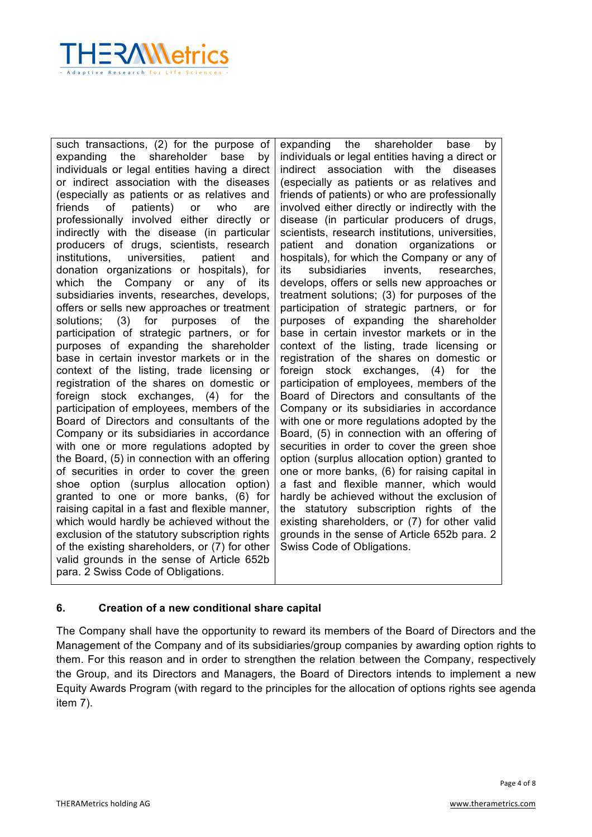

such transactions, (2) for the purpose of expanding the shareholder base by individuals or legal entities having a direct or indirect association with the diseases (especially as patients or as relatives and friends of patients) or who are professionally involved either directly or indirectly with the disease (in particular producers of drugs, scientists, research institutions, universities, patient and donation organizations or hospitals), for which the Company or any of its subsidiaries invents, researches, develops, offers or sells new approaches or treatment solutions; (3) for purposes of the participation of strategic partners, or for purposes of expanding the shareholder base in certain investor markets or in the context of the listing, trade licensing or registration of the shares on domestic or foreign stock exchanges, (4) for the participation of employees, members of the Board of Directors and consultants of the Company or its subsidiaries in accordance with one or more regulations adopted by the Board, (5) in connection with an offering of securities in order to cover the green shoe option (surplus allocation option) granted to one or more banks, (6) for raising capital in a fast and flexible manner, which would hardly be achieved without the exclusion of the statutory subscription rights of the existing shareholders, or (7) for other valid grounds in the sense of Article 652b para. 2 Swiss Code of Obligations.

expanding the shareholder base by individuals or legal entities having a direct or indirect association with the diseases (especially as patients or as relatives and friends of patients) or who are professionally involved either directly or indirectly with the disease (in particular producers of drugs, scientists, research institutions, universities, patient and donation organizations or hospitals), for which the Company or any of its subsidiaries invents, researches, develops, offers or sells new approaches or treatment solutions; (3) for purposes of the participation of strategic partners, or for purposes of expanding the shareholder base in certain investor markets or in the context of the listing, trade licensing or registration of the shares on domestic or foreign stock exchanges, (4) for the participation of employees, members of the Board of Directors and consultants of the Company or its subsidiaries in accordance with one or more regulations adopted by the Board, (5) in connection with an offering of securities in order to cover the green shoe option (surplus allocation option) granted to one or more banks, (6) for raising capital in a fast and flexible manner, which would hardly be achieved without the exclusion of the statutory subscription rights of the existing shareholders, or (7) for other valid grounds in the sense of Article 652b para. 2 Swiss Code of Obligations.

## **6. Creation of a new conditional share capital**

The Company shall have the opportunity to reward its members of the Board of Directors and the Management of the Company and of its subsidiaries/group companies by awarding option rights to them. For this reason and in order to strengthen the relation between the Company, respectively the Group, and its Directors and Managers, the Board of Directors intends to implement a new Equity Awards Program (with regard to the principles for the allocation of options rights see agenda item 7).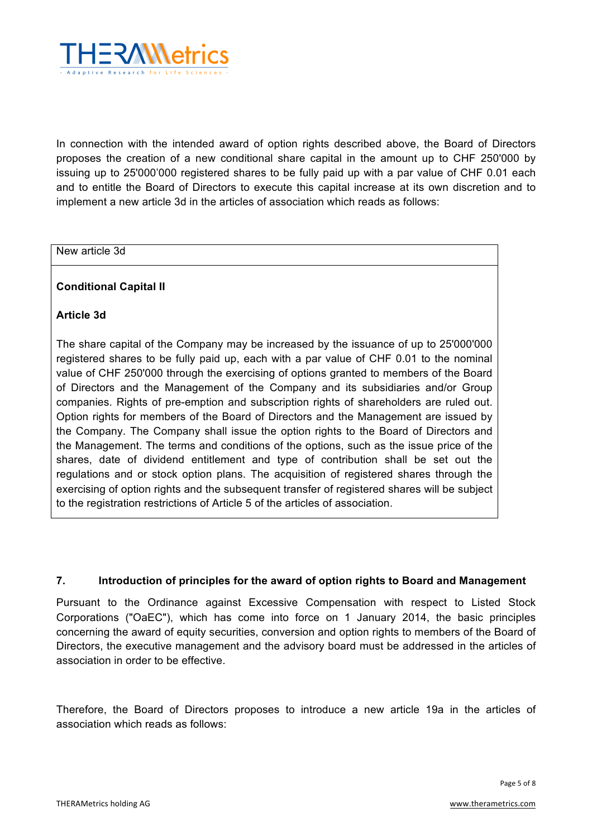

In connection with the intended award of option rights described above, the Board of Directors proposes the creation of a new conditional share capital in the amount up to CHF 250'000 by issuing up to 25'000'000 registered shares to be fully paid up with a par value of CHF 0.01 each and to entitle the Board of Directors to execute this capital increase at its own discretion and to implement a new article 3d in the articles of association which reads as follows:

#### New article 3d

### **Conditional Capital II**

### **Article 3d**

The share capital of the Company may be increased by the issuance of up to 25'000'000 registered shares to be fully paid up, each with a par value of CHF 0.01 to the nominal value of CHF 250'000 through the exercising of options granted to members of the Board of Directors and the Management of the Company and its subsidiaries and/or Group companies. Rights of pre-emption and subscription rights of shareholders are ruled out. Option rights for members of the Board of Directors and the Management are issued by the Company. The Company shall issue the option rights to the Board of Directors and the Management. The terms and conditions of the options, such as the issue price of the shares, date of dividend entitlement and type of contribution shall be set out the regulations and or stock option plans. The acquisition of registered shares through the exercising of option rights and the subsequent transfer of registered shares will be subject to the registration restrictions of Article 5 of the articles of association.

## **7. Introduction of principles for the award of option rights to Board and Management**

Pursuant to the Ordinance against Excessive Compensation with respect to Listed Stock Corporations ("OaEC"), which has come into force on 1 January 2014, the basic principles concerning the award of equity securities, conversion and option rights to members of the Board of Directors, the executive management and the advisory board must be addressed in the articles of association in order to be effective.

Therefore, the Board of Directors proposes to introduce a new article 19a in the articles of association which reads as follows: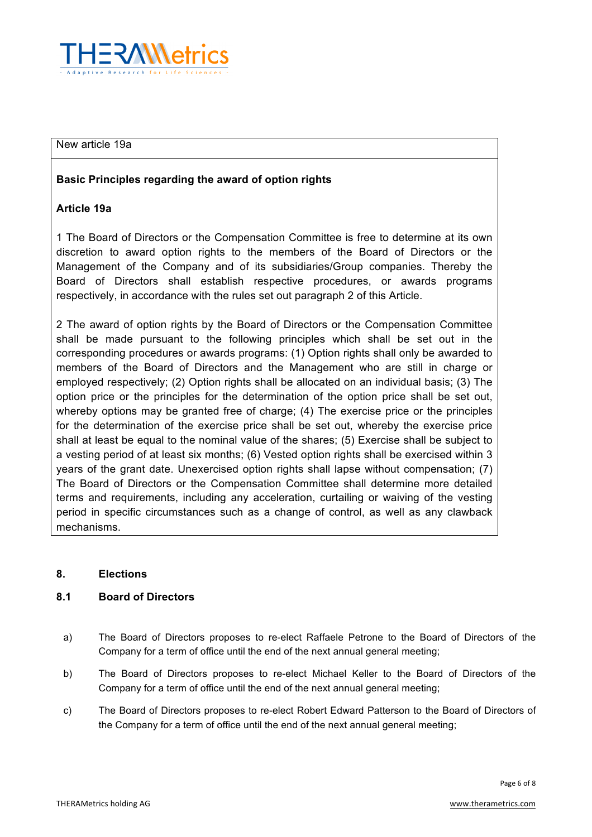

#### New article 19a

## **Basic Principles regarding the award of option rights**

## **Article 19a**

1 The Board of Directors or the Compensation Committee is free to determine at its own discretion to award option rights to the members of the Board of Directors or the Management of the Company and of its subsidiaries/Group companies. Thereby the Board of Directors shall establish respective procedures, or awards programs respectively, in accordance with the rules set out paragraph 2 of this Article.

2 The award of option rights by the Board of Directors or the Compensation Committee shall be made pursuant to the following principles which shall be set out in the corresponding procedures or awards programs: (1) Option rights shall only be awarded to members of the Board of Directors and the Management who are still in charge or employed respectively; (2) Option rights shall be allocated on an individual basis; (3) The option price or the principles for the determination of the option price shall be set out, whereby options may be granted free of charge; (4) The exercise price or the principles for the determination of the exercise price shall be set out, whereby the exercise price shall at least be equal to the nominal value of the shares; (5) Exercise shall be subject to a vesting period of at least six months; (6) Vested option rights shall be exercised within 3 years of the grant date. Unexercised option rights shall lapse without compensation; (7) The Board of Directors or the Compensation Committee shall determine more detailed terms and requirements, including any acceleration, curtailing or waiving of the vesting period in specific circumstances such as a change of control, as well as any clawback mechanisms.

#### **8. Elections**

#### **8.1 Board of Directors**

- a) The Board of Directors proposes to re-elect Raffaele Petrone to the Board of Directors of the Company for a term of office until the end of the next annual general meeting;
- b) The Board of Directors proposes to re-elect Michael Keller to the Board of Directors of the Company for a term of office until the end of the next annual general meeting;
- c) The Board of Directors proposes to re-elect Robert Edward Patterson to the Board of Directors of the Company for a term of office until the end of the next annual general meeting;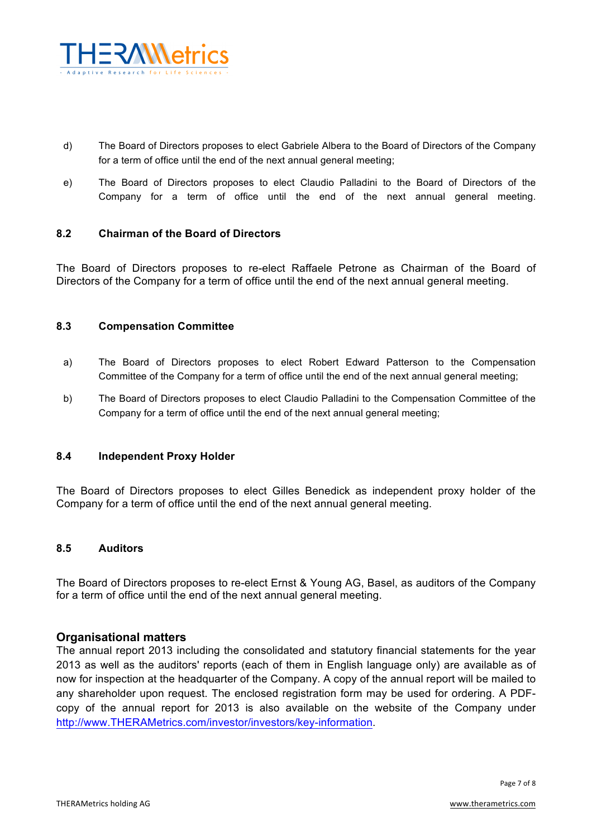

- d) The Board of Directors proposes to elect Gabriele Albera to the Board of Directors of the Company for a term of office until the end of the next annual general meeting;
- e) The Board of Directors proposes to elect Claudio Palladini to the Board of Directors of the Company for a term of office until the end of the next annual general meeting.

## **8.2 Chairman of the Board of Directors**

The Board of Directors proposes to re-elect Raffaele Petrone as Chairman of the Board of Directors of the Company for a term of office until the end of the next annual general meeting.

### **8.3 Compensation Committee**

- a) The Board of Directors proposes to elect Robert Edward Patterson to the Compensation Committee of the Company for a term of office until the end of the next annual general meeting;
- b) The Board of Directors proposes to elect Claudio Palladini to the Compensation Committee of the Company for a term of office until the end of the next annual general meeting;

#### **8.4 Independent Proxy Holder**

The Board of Directors proposes to elect Gilles Benedick as independent proxy holder of the Company for a term of office until the end of the next annual general meeting.

#### **8.5 Auditors**

The Board of Directors proposes to re-elect Ernst & Young AG, Basel, as auditors of the Company for a term of office until the end of the next annual general meeting.

## **Organisational matters**

The annual report 2013 including the consolidated and statutory financial statements for the year 2013 as well as the auditors' reports (each of them in English language only) are available as of now for inspection at the headquarter of the Company. A copy of the annual report will be mailed to any shareholder upon request. The enclosed registration form may be used for ordering. A PDFcopy of the annual report for 2013 is also available on the website of the Company under http://www.THERAMetrics.com/investor/investors/key-information.